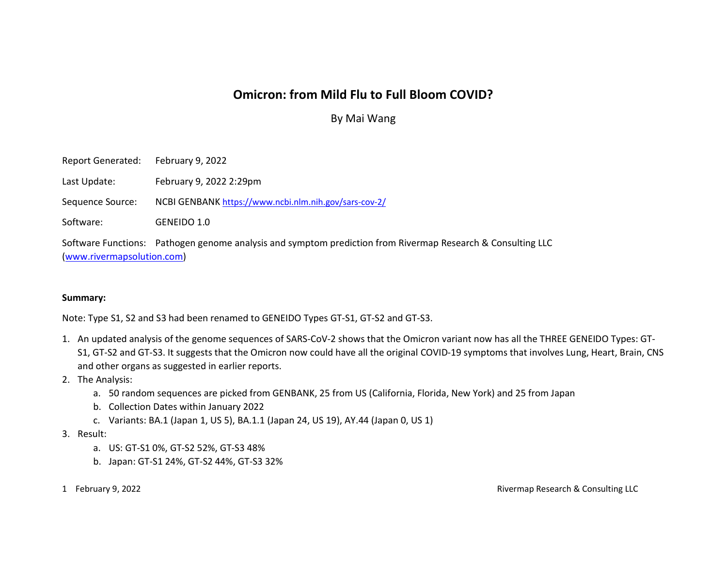## Omicron: from Mild Flu to Full Bloom COVID?

By Mai Wang

Report Generated: February 9, 2022

Last Update: February 9, 2022 2:29pm

Sequence Source: NCBI GENBANK https://www.ncbi.nlm.nih.gov/sars-cov-2/

Software: GENEIDO 1.0

Software Functions: Pathogen genome analysis and symptom prediction from Rivermap Research & Consulting LLC (www.rivermapsolution.com)

## Summary:

Note: Type S1, S2 and S3 had been renamed to GENEIDO Types GT-S1, GT-S2 and GT-S3.

- 1. An updated analysis of the genome sequences of SARS-CoV-2 shows that the Omicron variant now has all the THREE GENEIDO Types: GT-S1, GT-S2 and GT-S3. It suggests that the Omicron now could have all the original COVID-19 symptoms that involves Lung, Heart, Brain, CNS and other organs as suggested in earlier reports.
- 2. The Analysis:
	- a. 50 random sequences are picked from GENBANK, 25 from US (California, Florida, New York) and 25 from Japan
	- b. Collection Dates within January 2022
	- c. Variants: BA.1 (Japan 1, US 5), BA.1.1 (Japan 24, US 19), AY.44 (Japan 0, US 1)
- 3. Result:
	- a. US: GT-S1 0%, GT-S2 52%, GT-S3 48%
	- b. Japan: GT-S1 24%, GT-S2 44%, GT-S3 32%
- 

1 February 9, 2022 Rivermap Research & Consulting LLC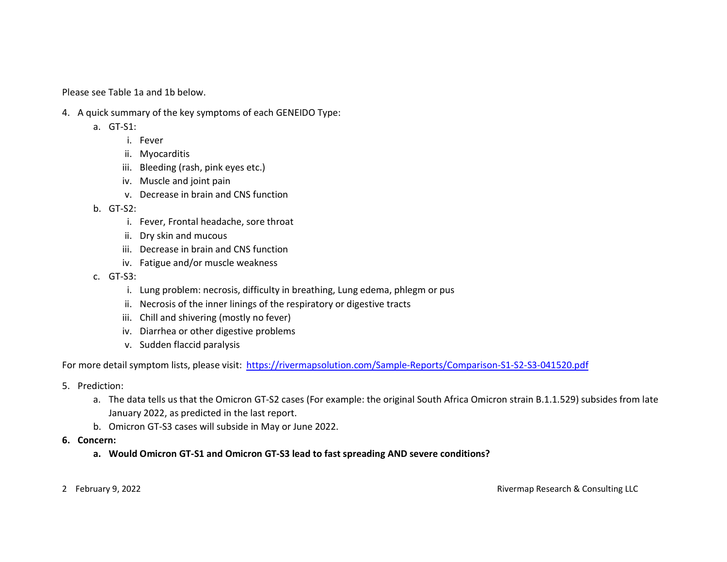Please see Table 1a and 1b below.

- 4. A quick summary of the key symptoms of each GENEIDO Type:
	- a. GT-S1:
		- i. Fever
		- ii. Myocarditis
		- iii. Bleeding (rash, pink eyes etc.)
		- iv. Muscle and joint pain
		- v. Decrease in brain and CNS function
	- b. GT-S2:
		- i. Fever, Frontal headache, sore throat
		- ii. Dry skin and mucous
		- iii. Decrease in brain and CNS function
		- iv. Fatigue and/or muscle weakness
	- c. GT-S3:
		- i. Lung problem: necrosis, difficulty in breathing, Lung edema, phlegm or pus
		- ii. Necrosis of the inner linings of the respiratory or digestive tracts
		- iii. Chill and shivering (mostly no fever)
		- iv. Diarrhea or other digestive problems
		- v. Sudden flaccid paralysis

For more detail symptom lists, please visit: https://rivermapsolution.com/Sample-Reports/Comparison-S1-S2-S3-041520.pdf

- 5. Prediction:
	- a. The data tells us that the Omicron GT-S2 cases (For example: the original South Africa Omicron strain B.1.1.529) subsides from late January 2022, as predicted in the last report.
	- b. Omicron GT-S3 cases will subside in May or June 2022.
- 6. Concern:
	- a. Would Omicron GT-S1 and Omicron GT-S3 lead to fast spreading AND severe conditions?
- 

2 February 9, 2022 Rivermap Research & Consulting LLC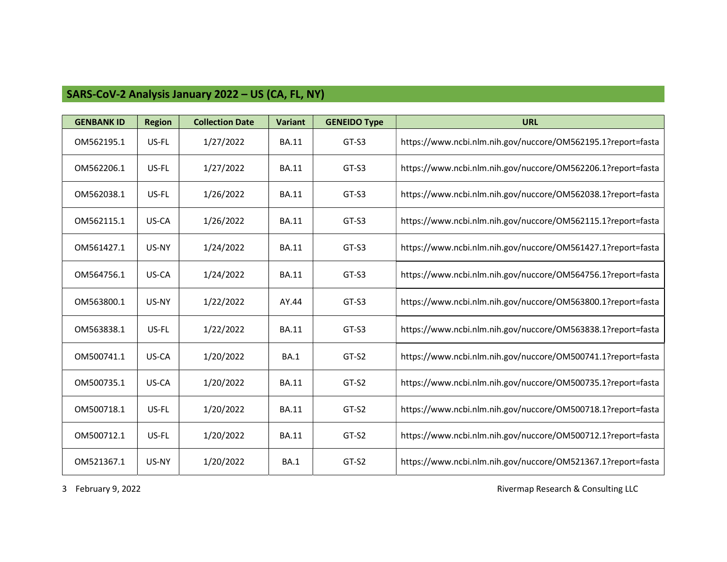## SARS-CoV-2 Analysis January 2022 – US (CA, FL, NY)

| <b>GENBANK ID</b> | <b>Region</b> | <b>Collection Date</b> | <b>Variant</b> | <b>GENEIDO Type</b> | <b>URL</b>                                                   |
|-------------------|---------------|------------------------|----------------|---------------------|--------------------------------------------------------------|
| OM562195.1        | US-FL         | 1/27/2022              | <b>BA.11</b>   | GT-S3               | https://www.ncbi.nlm.nih.gov/nuccore/OM562195.1?report=fasta |
| OM562206.1        | US-FL         | 1/27/2022              | <b>BA.11</b>   | GT-S3               | https://www.ncbi.nlm.nih.gov/nuccore/OM562206.1?report=fasta |
| OM562038.1        | US-FL         | 1/26/2022              | <b>BA.11</b>   | GT-S3               | https://www.ncbi.nlm.nih.gov/nuccore/OM562038.1?report=fasta |
| OM562115.1        | US-CA         | 1/26/2022              | <b>BA.11</b>   | GT-S3               | https://www.ncbi.nlm.nih.gov/nuccore/OM562115.1?report=fasta |
| OM561427.1        | US-NY         | 1/24/2022              | <b>BA.11</b>   | GT-S3               | https://www.ncbi.nlm.nih.gov/nuccore/OM561427.1?report=fasta |
| OM564756.1        | US-CA         | 1/24/2022              | <b>BA.11</b>   | GT-S3               | https://www.ncbi.nlm.nih.gov/nuccore/OM564756.1?report=fasta |
| OM563800.1        | US-NY         | 1/22/2022              | AY.44          | GT-S3               | https://www.ncbi.nlm.nih.gov/nuccore/OM563800.1?report=fasta |
| OM563838.1        | US-FL         | 1/22/2022              | <b>BA.11</b>   | GT-S3               | https://www.ncbi.nlm.nih.gov/nuccore/OM563838.1?report=fasta |
| OM500741.1        | US-CA         | 1/20/2022              | <b>BA.1</b>    | GT-S2               | https://www.ncbi.nlm.nih.gov/nuccore/OM500741.1?report=fasta |
| OM500735.1        | US-CA         | 1/20/2022              | <b>BA.11</b>   | GT-S2               | https://www.ncbi.nlm.nih.gov/nuccore/OM500735.1?report=fasta |
| OM500718.1        | US-FL         | 1/20/2022              | <b>BA.11</b>   | GT-S2               | https://www.ncbi.nlm.nih.gov/nuccore/OM500718.1?report=fasta |
| OM500712.1        | US-FL         | 1/20/2022              | <b>BA.11</b>   | GT-S2               | https://www.ncbi.nlm.nih.gov/nuccore/OM500712.1?report=fasta |
| OM521367.1        | US-NY         | 1/20/2022              | <b>BA.1</b>    | GT-S2               | https://www.ncbi.nlm.nih.gov/nuccore/OM521367.1?report=fasta |

3 February 9, 2022 2003 2002 2003 2009 2012 2013 2014 2015 2016 2017 2018 2019 2019 2019 2019 2019 2019 2019 201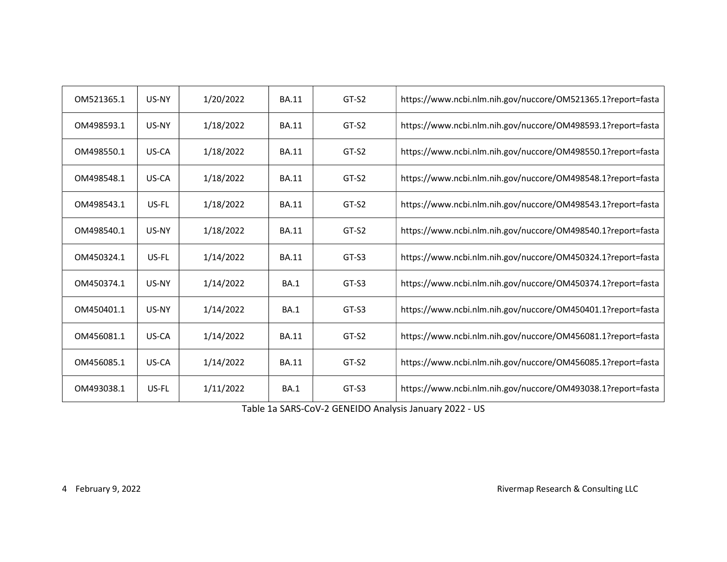| OM521365.1 | US-NY | 1/20/2022 | <b>BA.11</b> | $GT-S2$ | https://www.ncbi.nlm.nih.gov/nuccore/OM521365.1?report=fasta |
|------------|-------|-----------|--------------|---------|--------------------------------------------------------------|
| OM498593.1 | US-NY | 1/18/2022 | <b>BA.11</b> | GT-S2   | https://www.ncbi.nlm.nih.gov/nuccore/OM498593.1?report=fasta |
| OM498550.1 | US-CA | 1/18/2022 | <b>BA.11</b> | GT-S2   | https://www.ncbi.nlm.nih.gov/nuccore/OM498550.1?report=fasta |
| OM498548.1 | US-CA | 1/18/2022 | <b>BA.11</b> | $GT-S2$ | https://www.ncbi.nlm.nih.gov/nuccore/OM498548.1?report=fasta |
| OM498543.1 | US-FL | 1/18/2022 | <b>BA.11</b> | GT-S2   | https://www.ncbi.nlm.nih.gov/nuccore/OM498543.1?report=fasta |
| OM498540.1 | US-NY | 1/18/2022 | <b>BA.11</b> | GT-S2   | https://www.ncbi.nlm.nih.gov/nuccore/OM498540.1?report=fasta |
| OM450324.1 | US-FL | 1/14/2022 | <b>BA.11</b> | GT-S3   | https://www.ncbi.nlm.nih.gov/nuccore/OM450324.1?report=fasta |
| OM450374.1 | US-NY | 1/14/2022 | <b>BA.1</b>  | GT-S3   | https://www.ncbi.nlm.nih.gov/nuccore/OM450374.1?report=fasta |
| OM450401.1 | US-NY | 1/14/2022 | <b>BA.1</b>  | GT-S3   | https://www.ncbi.nlm.nih.gov/nuccore/OM450401.1?report=fasta |
| OM456081.1 | US-CA | 1/14/2022 | <b>BA.11</b> | GT-S2   | https://www.ncbi.nlm.nih.gov/nuccore/OM456081.1?report=fasta |
| OM456085.1 | US-CA | 1/14/2022 | <b>BA.11</b> | $GT-S2$ | https://www.ncbi.nlm.nih.gov/nuccore/OM456085.1?report=fasta |
| OM493038.1 | US-FL | 1/11/2022 | <b>BA.1</b>  | GT-S3   | https://www.ncbi.nlm.nih.gov/nuccore/OM493038.1?report=fasta |

Table 1a SARS-CoV-2 GENEIDO Analysis January 2022 - US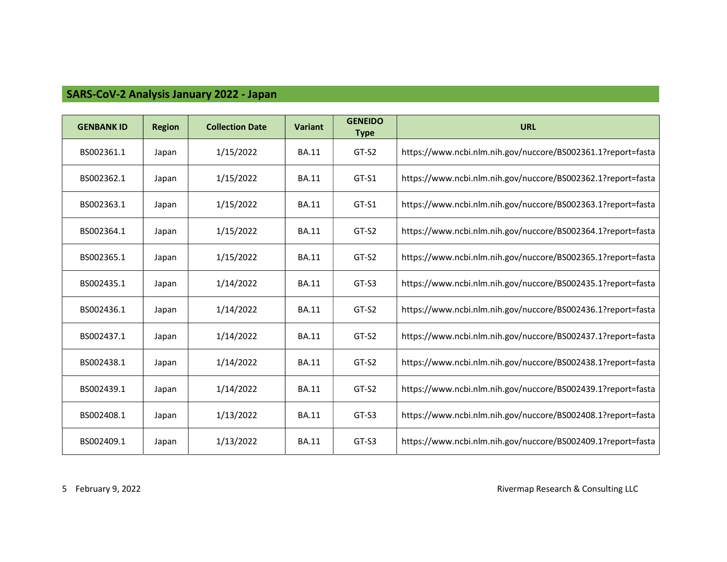## SARS-CoV-2 Analysis January 2022 - Japan

| <b>GENBANK ID</b> | <b>Region</b> | <b>Collection Date</b> | <b>Variant</b> | <b>GENEIDO</b><br><b>Type</b> | <b>URL</b>                                                   |
|-------------------|---------------|------------------------|----------------|-------------------------------|--------------------------------------------------------------|
| BS002361.1        | Japan         | 1/15/2022              | <b>BA.11</b>   | GT-S2                         | https://www.ncbi.nlm.nih.gov/nuccore/BS002361.1?report=fasta |
| BS002362.1        | Japan         | 1/15/2022              | <b>BA.11</b>   | GT-S1                         | https://www.ncbi.nlm.nih.gov/nuccore/BS002362.1?report=fasta |
| BS002363.1        | Japan         | 1/15/2022              | <b>BA.11</b>   | GT-S1                         | https://www.ncbi.nlm.nih.gov/nuccore/BS002363.1?report=fasta |
| BS002364.1        | Japan         | 1/15/2022              | <b>BA.11</b>   | GT-S2                         | https://www.ncbi.nlm.nih.gov/nuccore/BS002364.1?report=fasta |
| BS002365.1        | Japan         | 1/15/2022              | <b>BA.11</b>   | GT-S2                         | https://www.ncbi.nlm.nih.gov/nuccore/BS002365.1?report=fasta |
| BS002435.1        | Japan         | 1/14/2022              | <b>BA.11</b>   | GT-S3                         | https://www.ncbi.nlm.nih.gov/nuccore/BS002435.1?report=fasta |
| BS002436.1        | Japan         | 1/14/2022              | <b>BA.11</b>   | GT-S2                         | https://www.ncbi.nlm.nih.gov/nuccore/BS002436.1?report=fasta |
| BS002437.1        | Japan         | 1/14/2022              | <b>BA.11</b>   | GT-S2                         | https://www.ncbi.nlm.nih.gov/nuccore/BS002437.1?report=fasta |
| BS002438.1        | Japan         | 1/14/2022              | <b>BA.11</b>   | GT-S2                         | https://www.ncbi.nlm.nih.gov/nuccore/BS002438.1?report=fasta |
| BS002439.1        | Japan         | 1/14/2022              | <b>BA.11</b>   | GT-S2                         | https://www.ncbi.nlm.nih.gov/nuccore/BS002439.1?report=fasta |
| BS002408.1        | Japan         | 1/13/2022              | <b>BA.11</b>   | GT-S3                         | https://www.ncbi.nlm.nih.gov/nuccore/BS002408.1?report=fasta |
| BS002409.1        | Japan         | 1/13/2022              | <b>BA.11</b>   | GT-S3                         | https://www.ncbi.nlm.nih.gov/nuccore/BS002409.1?report=fasta |

5 February 9, 2022 2003 2002 2003 2009 2012 2013 2014 2015 2016 2017 2018 2019 2019 2019 2019 2019 2019 2019 201